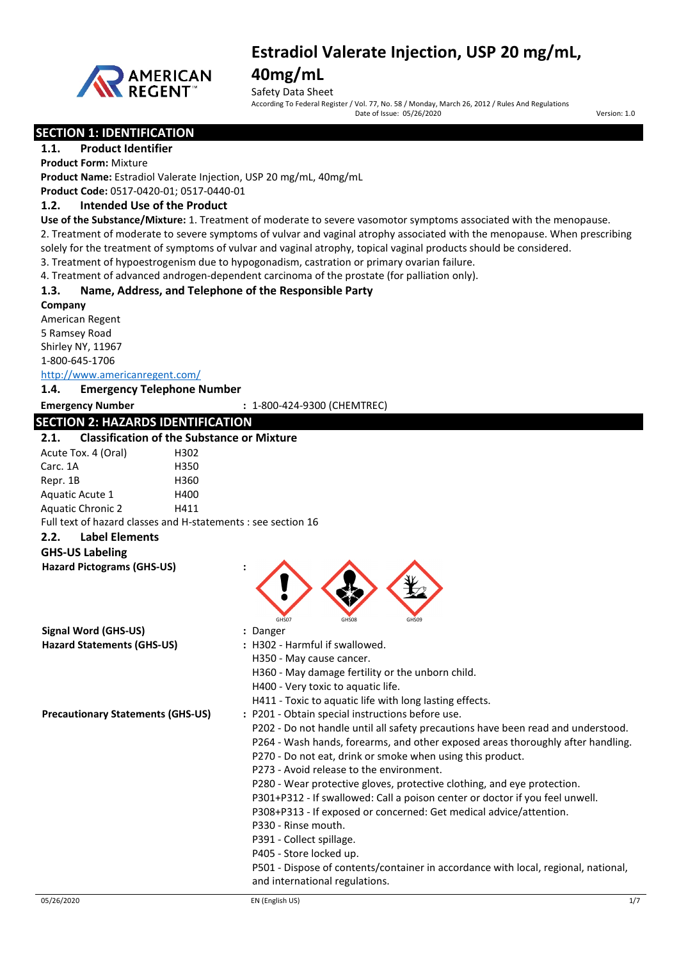

## **40mg/mL**

Safety Data Sheet<br>According To Federal Register / Vol. 77, No. 58 / Monday, March 26, 2012 / Rules And Regulations

Date of Issue: 05/26/2020 Version: 1.0

### **SECTION 1: IDENTIFICATION**

**1.1. Product Identifier Product Form:** Mixture

**Product Name:** Estradiol Valerate Injection, USP 20 mg/mL, 40mg/mL

**Product Code:** 0517-0420-01; 0517-0440-01

#### **1.2. Intended Use of the Product**

**Use of the Substance/Mixture:** 1. Treatment of moderate to severe vasomotor symptoms associated with the menopause. 2. Treatment of moderate to severe symptoms of vulvar and vaginal atrophy associated with the menopause. When prescribing

solely for the treatment of symptoms of vulvar and vaginal atrophy, topical vaginal products should be considered.

3. Treatment of hypoestrogenism due to hypogonadism, castration or primary ovarian failure.

4. Treatment of advanced androgen-dependent carcinoma of the prostate (for palliation only).

#### **1.3. Name, Address, and Telephone of the Responsible Party**

**Company**

American Regent 5 Ramsey Road Shirley NY, 11967 1-800-645-1706

<http://www.americanregent.com/>

#### **1.4. Emergency Telephone Number**

**Emergency Number :** 1-800-424-9300 (CHEMTREC)

### **SECTION 2: HAZARDS IDENTIFICATION**

#### **2.1. Classification of the Substance or Mixture**

| ----                     | спятантары атына аматында от тундамга                         |  |
|--------------------------|---------------------------------------------------------------|--|
| Acute Tox. 4 (Oral)      | H302                                                          |  |
| Carc. 1A                 | H350                                                          |  |
| Repr. 1B                 | H360                                                          |  |
| Aquatic Acute 1          | H400                                                          |  |
| <b>Aquatic Chronic 2</b> | H411                                                          |  |
|                          | Full text of hazard classes and H-statements : see section 16 |  |

#### **2.2. Label Elements**

**GHS-US Labeling**

| <b>Hazard Pictograms (GHS-US)</b> |  |
|-----------------------------------|--|
|                                   |  |

**Signal Word (GHS-US) :** Danger

- GHS07 GHS08 GHS09
- **Hazard Statements (GHS-US) :** H302 Harmful if swallowed. H350 - May cause cancer.
	- H360 May damage fertility or the unborn child.
	- H400 Very toxic to aquatic life.
	- H411 Toxic to aquatic life with long lasting effects.
- **Precautionary Statements (GHS-US) :** P201 Obtain special instructions before use.
	- P202 Do not handle until all safety precautions have been read and understood.
		- P264 Wash hands, forearms, and other exposed areas thoroughly after handling.
	- P270 Do not eat, drink or smoke when using this product.
	- P273 Avoid release to the environment.
	- P280 Wear protective gloves, protective clothing, and eye protection.
	- P301+P312 If swallowed: Call a poison center or doctor if you feel unwell.
	- P308+P313 If exposed or concerned: Get medical advice/attention.
	- P330 Rinse mouth.
	- P391 Collect spillage.
	- P405 Store locked up.
	- P501 Dispose of contents/container in accordance with local, regional, national, and international regulations.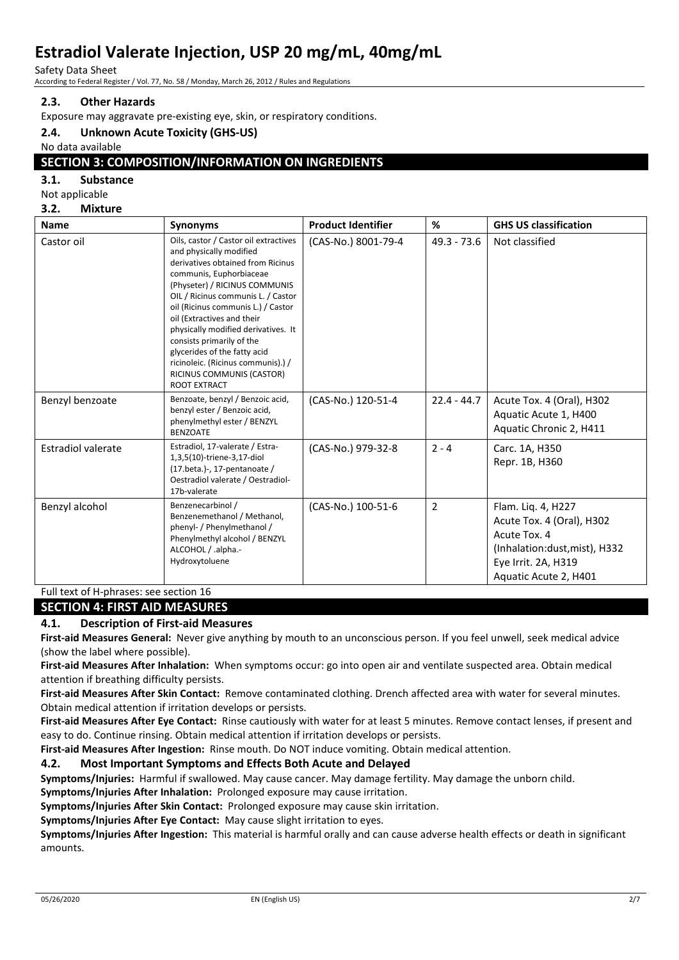Safety Data Sheet

According to Federal Register / Vol. 77, No. 58 / Monday, March 26, 2012 / Rules and Regulations

### **2.3. Other Hazards**

Exposure may aggravate pre-existing eye, skin, or respiratory conditions.

#### **2.4. Unknown Acute Toxicity (GHS-US)**

No data available

### **SECTION 3: COMPOSITION/INFORMATION ON INGREDIENTS**

#### **3.1. Substance**

| Not applicable |  |
|----------------|--|
|----------------|--|

**3.2. Mixture**

| <b>Name</b>               | <b>Synonyms</b>                                                                                                                                                                                                                                                                                                                                                                                                                                                    | <b>Product Identifier</b> | %              | <b>GHS US classification</b>                                                                                                                     |
|---------------------------|--------------------------------------------------------------------------------------------------------------------------------------------------------------------------------------------------------------------------------------------------------------------------------------------------------------------------------------------------------------------------------------------------------------------------------------------------------------------|---------------------------|----------------|--------------------------------------------------------------------------------------------------------------------------------------------------|
| Castor oil                | Oils, castor / Castor oil extractives<br>and physically modified<br>derivatives obtained from Ricinus<br>communis, Euphorbiaceae<br>(Physeter) / RICINUS COMMUNIS<br>OIL / Ricinus communis L. / Castor<br>oil (Ricinus communis L.) / Castor<br>oil (Extractives and their<br>physically modified derivatives. It<br>consists primarily of the<br>glycerides of the fatty acid<br>ricinoleic. (Ricinus communis).) /<br>RICINUS COMMUNIS (CASTOR)<br>ROOT EXTRACT | (CAS-No.) 8001-79-4       | $49.3 - 73.6$  | Not classified                                                                                                                                   |
| Benzyl benzoate           | Benzoate, benzyl / Benzoic acid,<br>benzyl ester / Benzoic acid,<br>phenylmethyl ester / BENZYL<br><b>BENZOATE</b>                                                                                                                                                                                                                                                                                                                                                 | (CAS-No.) 120-51-4        | $22.4 - 44.7$  | Acute Tox. 4 (Oral), H302<br>Aquatic Acute 1, H400<br>Aquatic Chronic 2, H411                                                                    |
| <b>Estradiol valerate</b> | Estradiol, 17-valerate / Estra-<br>1,3,5(10)-triene-3,17-diol<br>(17.beta.)-, 17-pentanoate /<br>Oestradiol valerate / Oestradiol-<br>17b-valerate                                                                                                                                                                                                                                                                                                                 | (CAS-No.) 979-32-8        | $2 - 4$        | Carc. 1A, H350<br>Repr. 1B, H360                                                                                                                 |
| Benzyl alcohol            | Benzenecarbinol /<br>Benzenemethanol / Methanol,<br>phenyl- / Phenylmethanol /<br>Phenylmethyl alcohol / BENZYL<br>ALCOHOL / .alpha.-<br>Hydroxytoluene                                                                                                                                                                                                                                                                                                            | (CAS-No.) 100-51-6        | $\overline{2}$ | Flam. Lig. 4, H227<br>Acute Tox. 4 (Oral), H302<br>Acute Tox. 4<br>(Inhalation:dust, mist), H332<br>Eye Irrit. 2A, H319<br>Aquatic Acute 2, H401 |

Full text of H-phrases: see section 16

#### **SECTION 4: FIRST AID MEASURES**

#### **4.1. Description of First-aid Measures**

**First-aid Measures General:** Never give anything by mouth to an unconscious person. If you feel unwell, seek medical advice (show the label where possible).

**First-aid Measures After Inhalation:** When symptoms occur: go into open air and ventilate suspected area. Obtain medical attention if breathing difficulty persists.

**First-aid Measures After Skin Contact:** Remove contaminated clothing. Drench affected area with water for several minutes. Obtain medical attention if irritation develops or persists.

**First-aid Measures After Eye Contact:** Rinse cautiously with water for at least 5 minutes. Remove contact lenses, if present and easy to do. Continue rinsing. Obtain medical attention if irritation develops or persists.

**First-aid Measures After Ingestion:** Rinse mouth. Do NOT induce vomiting. Obtain medical attention.

#### **4.2. Most Important Symptoms and Effects Both Acute and Delayed**

**Symptoms/Injuries:** Harmful if swallowed. May cause cancer. May damage fertility. May damage the unborn child. **Symptoms/Injuries After Inhalation:** Prolonged exposure may cause irritation.

**Symptoms/Injuries After Skin Contact:** Prolonged exposure may cause skin irritation.

**Symptoms/Injuries After Eye Contact:** May cause slight irritation to eyes.

**Symptoms/Injuries After Ingestion:** This material is harmful orally and can cause adverse health effects or death in significant amounts.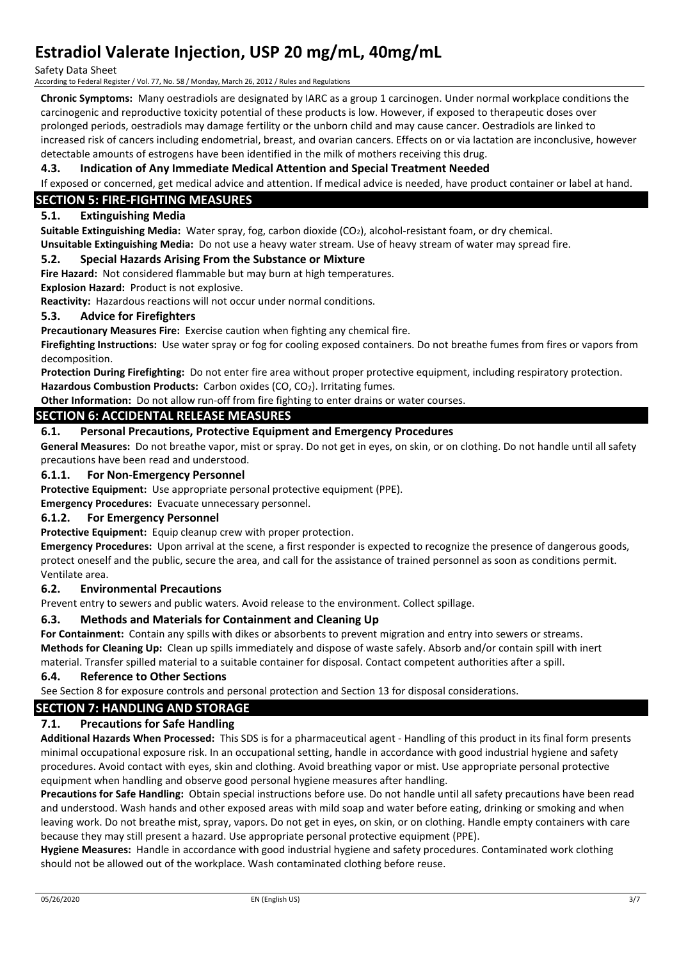Safety Data Sheet

According to Federal Register / Vol. 77, No. 58 / Monday, March 26, 2012 / Rules and Regulations

**Chronic Symptoms:** Many oestradiols are designated by IARC as a group 1 carcinogen. Under normal workplace conditions the carcinogenic and reproductive toxicity potential of these products is low. However, if exposed to therapeutic doses over prolonged periods, oestradiols may damage fertility or the unborn child and may cause cancer. Oestradiols are linked to increased risk of cancers including endometrial, breast, and ovarian cancers. Effects on or via lactation are inconclusive, however detectable amounts of estrogens have been identified in the milk of mothers receiving this drug.

#### **4.3. Indication of Any Immediate Medical Attention and Special Treatment Needed**

If exposed or concerned, get medical advice and attention. If medical advice is needed, have product container or label at hand.

### **SECTION 5: FIRE-FIGHTING MEASURES**

#### **5.1. Extinguishing Media**

**Suitable Extinguishing Media:** Water spray, fog, carbon dioxide (CO2), alcohol-resistant foam, or dry chemical.

**Unsuitable Extinguishing Media:** Do not use a heavy water stream. Use of heavy stream of water may spread fire.

#### **5.2. Special Hazards Arising From the Substance or Mixture**

**Fire Hazard:** Not considered flammable but may burn at high temperatures.

**Explosion Hazard:** Product is not explosive.

**Reactivity:** Hazardous reactions will not occur under normal conditions.

#### **5.3. Advice for Firefighters**

**Precautionary Measures Fire:** Exercise caution when fighting any chemical fire.

**Firefighting Instructions:** Use water spray or fog for cooling exposed containers. Do not breathe fumes from fires or vapors from decomposition.

**Protection During Firefighting:** Do not enter fire area without proper protective equipment, including respiratory protection. Hazardous Combustion Products: Carbon oxides (CO, CO<sub>2</sub>). Irritating fumes.

**Other Information:** Do not allow run-off from fire fighting to enter drains or water courses.

#### **SECTION 6: ACCIDENTAL RELEASE MEASURES**

#### **6.1. Personal Precautions, Protective Equipment and Emergency Procedures**

**General Measures:** Do not breathe vapor, mist or spray. Do not get in eyes, on skin, or on clothing. Do not handle until all safety precautions have been read and understood.

#### **6.1.1. For Non-Emergency Personnel**

**Protective Equipment:** Use appropriate personal protective equipment (PPE).

**Emergency Procedures:** Evacuate unnecessary personnel.

#### **6.1.2. For Emergency Personnel**

**Protective Equipment:** Equip cleanup crew with proper protection.

**Emergency Procedures:** Upon arrival at the scene, a first responder is expected to recognize the presence of dangerous goods, protect oneself and the public, secure the area, and call for the assistance of trained personnel as soon as conditions permit. Ventilate area.

#### **6.2. Environmental Precautions**

Prevent entry to sewers and public waters. Avoid release to the environment. Collect spillage.

#### **6.3. Methods and Materials for Containment and Cleaning Up**

**For Containment:** Contain any spills with dikes or absorbents to prevent migration and entry into sewers or streams. **Methods for Cleaning Up:** Clean up spills immediately and dispose of waste safely. Absorb and/or contain spill with inert

material. Transfer spilled material to a suitable container for disposal. Contact competent authorities after a spill.

#### **6.4. Reference to Other Sections**

See Section 8 for exposure controls and personal protection and Section 13 for disposal considerations.

#### **SECTION 7: HANDLING AND STORAGE**

#### **7.1. Precautions for Safe Handling**

**Additional Hazards When Processed:** This SDS is for a pharmaceutical agent - Handling of this product in its final form presents minimal occupational exposure risk. In an occupational setting, handle in accordance with good industrial hygiene and safety procedures. Avoid contact with eyes, skin and clothing. Avoid breathing vapor or mist. Use appropriate personal protective equipment when handling and observe good personal hygiene measures after handling.

**Precautions for Safe Handling:** Obtain special instructions before use. Do not handle until all safety precautions have been read and understood. Wash hands and other exposed areas with mild soap and water before eating, drinking or smoking and when leaving work. Do not breathe mist, spray, vapors. Do not get in eyes, on skin, or on clothing. Handle empty containers with care because they may still present a hazard. Use appropriate personal protective equipment (PPE).

**Hygiene Measures:** Handle in accordance with good industrial hygiene and safety procedures. Contaminated work clothing should not be allowed out of the workplace. Wash contaminated clothing before reuse.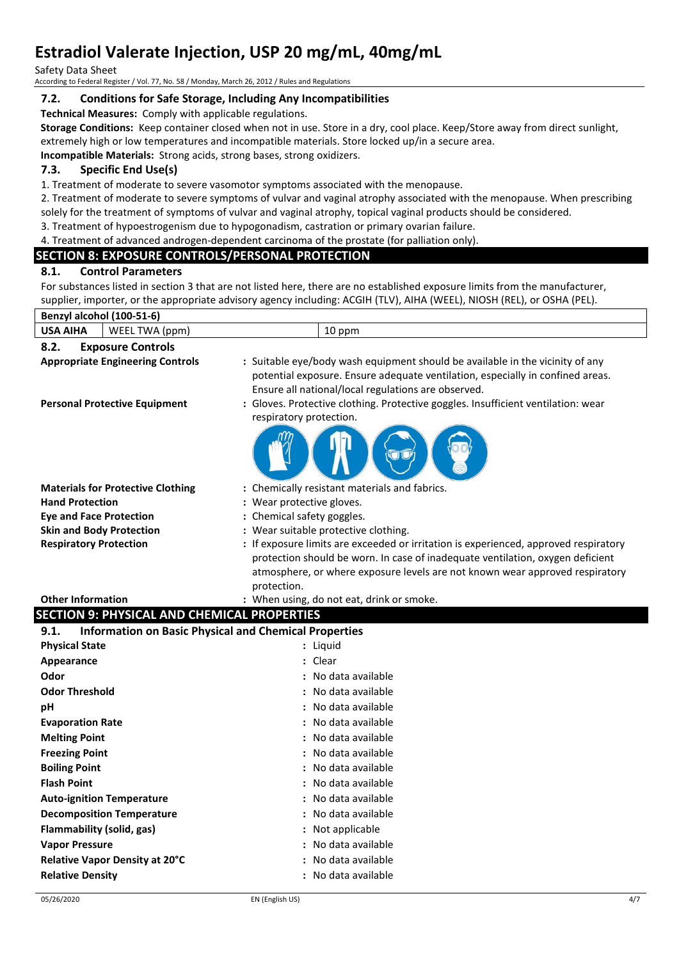Safety Data Sheet

According to Federal Register / Vol. 77, No. 58 / Monday, March 26, 2012 / Rules and Regulations

#### **7.2. Conditions for Safe Storage, Including Any Incompatibilities**

**Technical Measures:** Comply with applicable regulations.

**Storage Conditions:** Keep container closed when not in use. Store in a dry, cool place. Keep/Store away from direct sunlight, extremely high or low temperatures and incompatible materials. Store locked up/in a secure area.

**Incompatible Materials:** Strong acids, strong bases, strong oxidizers.

#### **7.3. Specific End Use(s)**

1. Treatment of moderate to severe vasomotor symptoms associated with the menopause.

2. Treatment of moderate to severe symptoms of vulvar and vaginal atrophy associated with the menopause. When prescribing solely for the treatment of symptoms of vulvar and vaginal atrophy, topical vaginal products should be considered.

3. Treatment of hypoestrogenism due to hypogonadism, castration or primary ovarian failure.

#### 4. Treatment of advanced androgen-dependent carcinoma of the prostate (for palliation only).

### **SECTION 8: EXPOSURE CONTROLS/PERSONAL PROTECTION**

#### **8.1. Control Parameters**

For substances listed in section 3 that are not listed here, there are no established exposure limits from the manufacturer, supplier, importer, or the appropriate advisory agency including: ACGIH (TLV), AIHA (WEEL), NIOSH (REL), or OSHA (PEL).

| Benzyl alcohol (100-51-6)                                                       |                                                                                                                                                                                                                                                                                                                                        |
|---------------------------------------------------------------------------------|----------------------------------------------------------------------------------------------------------------------------------------------------------------------------------------------------------------------------------------------------------------------------------------------------------------------------------------|
| <b>USA AIHA</b><br>WEEL TWA (ppm)                                               | 10 ppm                                                                                                                                                                                                                                                                                                                                 |
| 8.2.<br><b>Exposure Controls</b>                                                |                                                                                                                                                                                                                                                                                                                                        |
| <b>Appropriate Engineering Controls</b><br><b>Personal Protective Equipment</b> | : Suitable eye/body wash equipment should be available in the vicinity of any<br>potential exposure. Ensure adequate ventilation, especially in confined areas.<br>Ensure all national/local regulations are observed.<br>: Gloves. Protective clothing. Protective goggles. Insufficient ventilation: wear<br>respiratory protection. |
|                                                                                 |                                                                                                                                                                                                                                                                                                                                        |
| <b>Materials for Protective Clothing</b>                                        | : Chemically resistant materials and fabrics.                                                                                                                                                                                                                                                                                          |
| <b>Hand Protection</b>                                                          | : Wear protective gloves.                                                                                                                                                                                                                                                                                                              |
| <b>Eye and Face Protection</b>                                                  | : Chemical safety goggles.                                                                                                                                                                                                                                                                                                             |
| <b>Skin and Body Protection</b>                                                 | : Wear suitable protective clothing.                                                                                                                                                                                                                                                                                                   |
| <b>Respiratory Protection</b>                                                   | : If exposure limits are exceeded or irritation is experienced, approved respiratory<br>protection should be worn. In case of inadequate ventilation, oxygen deficient                                                                                                                                                                 |
|                                                                                 | atmosphere, or where exposure levels are not known wear approved respiratory                                                                                                                                                                                                                                                           |
|                                                                                 | protection.                                                                                                                                                                                                                                                                                                                            |
| <b>Other Information</b>                                                        | : When using, do not eat, drink or smoke.                                                                                                                                                                                                                                                                                              |
| <b>SECTION 9: PHYSICAL AND CHEMICAL PROPERTIES</b>                              |                                                                                                                                                                                                                                                                                                                                        |
| <b>Information on Basic Physical and Chemical Properties</b><br>9.1.            |                                                                                                                                                                                                                                                                                                                                        |
| <b>Physical State</b>                                                           | : Liquid                                                                                                                                                                                                                                                                                                                               |
| Appearance                                                                      | : Clear                                                                                                                                                                                                                                                                                                                                |
| Odor                                                                            | No data available                                                                                                                                                                                                                                                                                                                      |
| <b>Odor Threshold</b>                                                           | No data available                                                                                                                                                                                                                                                                                                                      |
| pH                                                                              | : No data available                                                                                                                                                                                                                                                                                                                    |
| <b>Evaporation Rate</b>                                                         | : No data available                                                                                                                                                                                                                                                                                                                    |
| <b>Melting Point</b>                                                            | : No data available                                                                                                                                                                                                                                                                                                                    |
| <b>Freezing Point</b>                                                           | : No data available                                                                                                                                                                                                                                                                                                                    |
| <b>Boiling Point</b>                                                            | : No data available                                                                                                                                                                                                                                                                                                                    |
| <b>Flash Point</b>                                                              | : No data available                                                                                                                                                                                                                                                                                                                    |
| <b>Auto-ignition Temperature</b>                                                | : No data available                                                                                                                                                                                                                                                                                                                    |
| <b>Decomposition Temperature</b>                                                | : No data available                                                                                                                                                                                                                                                                                                                    |
| Flammability (solid, gas)                                                       | : Not applicable                                                                                                                                                                                                                                                                                                                       |
| <b>Vapor Pressure</b>                                                           | : No data available                                                                                                                                                                                                                                                                                                                    |
| Relative Vapor Density at 20°C                                                  | : No data available                                                                                                                                                                                                                                                                                                                    |
| <b>Relative Density</b>                                                         | : No data available                                                                                                                                                                                                                                                                                                                    |
|                                                                                 |                                                                                                                                                                                                                                                                                                                                        |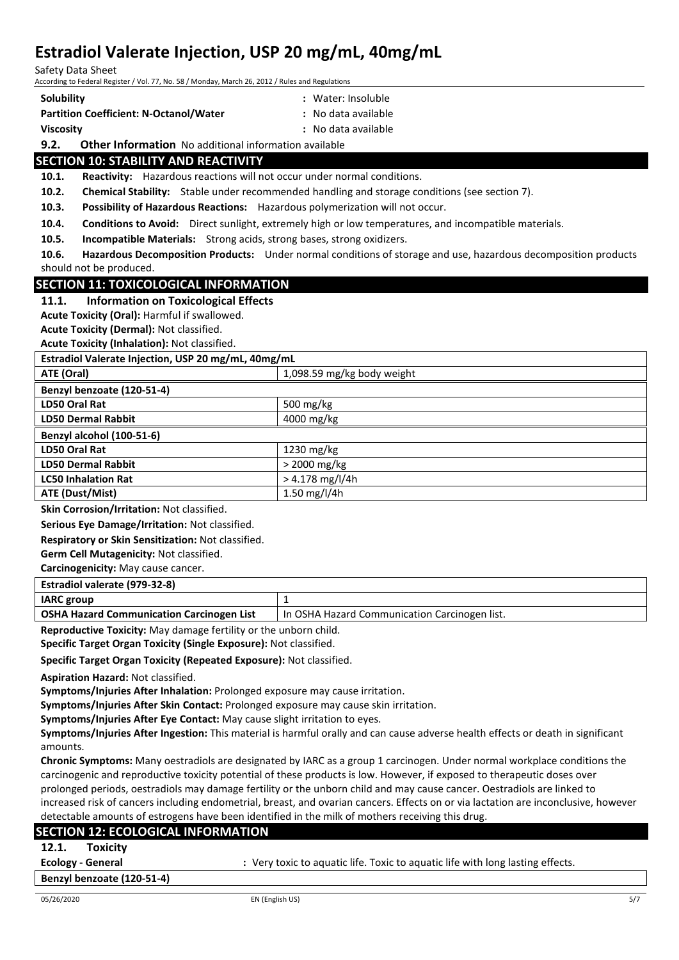Safety Data Sheet

According to Federal Register / Vol. 77, No. 58 / Monday, March 26, 2012 / Rules and Regulations

**Solubility :** Water: Insoluble **Partition Coefficient: N-Octanol/Water :** No data available **Viscosity :** No data available

**9.2. Other Information** No additional information available

### **SECTION 10: STABILITY AND REACTIVITY**

**10.1. Reactivity:** Hazardous reactions will not occur under normal conditions.

**10.2. Chemical Stability:** Stable under recommended handling and storage conditions (see section 7).

**10.3. Possibility of Hazardous Reactions:** Hazardous polymerization will not occur.

- **10.4. Conditions to Avoid:** Direct sunlight, extremely high or low temperatures, and incompatible materials.
- **10.5. Incompatible Materials:** Strong acids, strong bases, strong oxidizers.

**10.6. Hazardous Decomposition Products:** Under normal conditions of storage and use, hazardous decomposition products should not be produced.

#### **SECTION 11: TOXICOLOGICAL INFORMATION**

#### **11.1. Information on Toxicological Effects**

**Acute Toxicity (Oral):** Harmful if swallowed.

**Acute Toxicity (Dermal):** Not classified.

**Acute Toxicity (Inhalation):** Not classified.

| Estradiol Valerate Injection, USP 20 mg/mL, 40mg/mL |                            |  |
|-----------------------------------------------------|----------------------------|--|
| ATE (Oral)                                          | 1,098.59 mg/kg body weight |  |
| Benzyl benzoate (120-51-4)                          |                            |  |
| LD50 Oral Rat                                       | 500 mg/kg                  |  |
| <b>LD50 Dermal Rabbit</b>                           | 4000 mg/kg                 |  |
| Benzyl alcohol (100-51-6)                           |                            |  |
| <b>LD50 Oral Rat</b>                                | $1230$ mg/kg               |  |
| <b>LD50 Dermal Rabbit</b>                           | $>$ 2000 mg/kg             |  |
| <b>LC50 Inhalation Rat</b>                          | $> 4.178$ mg/l/4h          |  |
| ATE (Dust/Mist)                                     | 1.50 mg/l/4h               |  |

**Skin Corrosion/Irritation:** Not classified.

**Serious Eye Damage/Irritation:** Not classified.

**Respiratory or Skin Sensitization:** Not classified.

**Germ Cell Mutagenicity:** Not classified.

**Carcinogenicity:** May cause cancer.

| Estradiol valerate (979-32-8)                    |                                                 |  |
|--------------------------------------------------|-------------------------------------------------|--|
| <b>IARC</b> group                                |                                                 |  |
| <b>OSHA Hazard Communication Carcinogen List</b> | I In OSHA Hazard Communication Carcinogen list. |  |
|                                                  |                                                 |  |

**Reproductive Toxicity:** May damage fertility or the unborn child.

**Specific Target Organ Toxicity (Single Exposure):** Not classified.

**Specific Target Organ Toxicity (Repeated Exposure):** Not classified.

**Aspiration Hazard:** Not classified.

**Symptoms/Injuries After Inhalation:** Prolonged exposure may cause irritation.

**Symptoms/Injuries After Skin Contact:** Prolonged exposure may cause skin irritation.

**Symptoms/Injuries After Eye Contact:** May cause slight irritation to eyes.

**Symptoms/Injuries After Ingestion:** This material is harmful orally and can cause adverse health effects or death in significant amounts.

**Chronic Symptoms:** Many oestradiols are designated by IARC as a group 1 carcinogen. Under normal workplace conditions the carcinogenic and reproductive toxicity potential of these products is low. However, if exposed to therapeutic doses over prolonged periods, oestradiols may damage fertility or the unborn child and may cause cancer. Oestradiols are linked to increased risk of cancers including endometrial, breast, and ovarian cancers. Effects on or via lactation are inconclusive, however detectable amounts of estrogens have been identified in the milk of mothers receiving this drug.

| <b>SECTION 12: ECOLOGICAL INFORMATION</b> |                                                                                |
|-------------------------------------------|--------------------------------------------------------------------------------|
| 12.1.<br><b>Toxicity</b>                  |                                                                                |
| <b>Ecology - General</b>                  | : Very toxic to aguatic life. Toxic to aguatic life with long lasting effects. |
| Benzyl benzoate (120-51-4)                |                                                                                |
|                                           |                                                                                |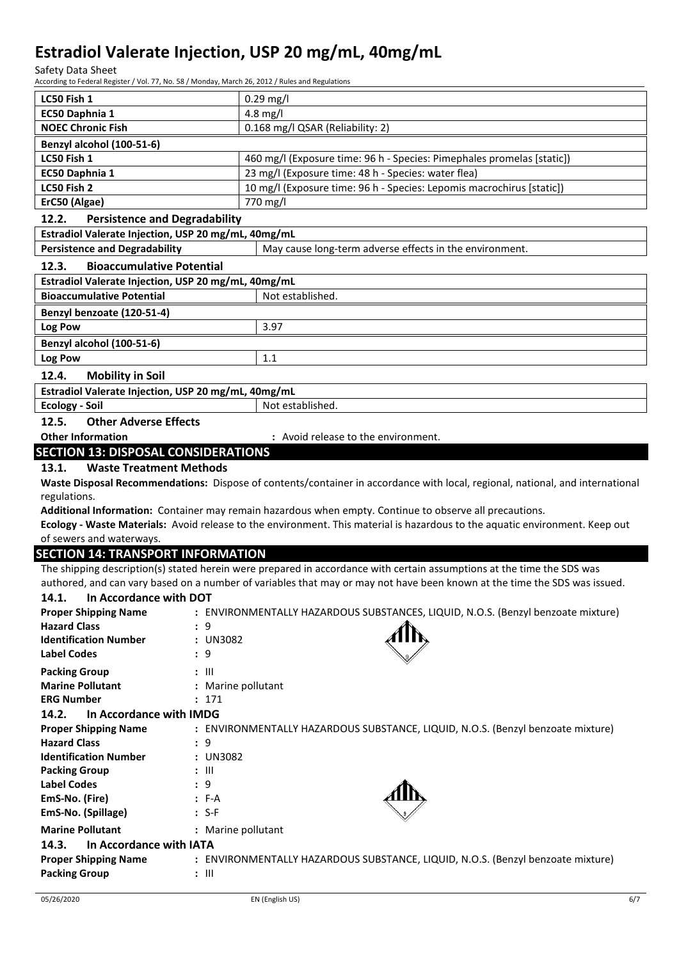Safety Data Sheet

According to Federal Register / Vol. 77, No. 58 / Monday, March 26, 2012 / Rules and Regulations

| LC50 Fish 1                                                           | $0.29$ mg/l                                                                                                                   |
|-----------------------------------------------------------------------|-------------------------------------------------------------------------------------------------------------------------------|
| EC50 Daphnia 1                                                        | $4.8$ mg/l                                                                                                                    |
| <b>NOEC Chronic Fish</b>                                              | 0.168 mg/l QSAR (Reliability: 2)                                                                                              |
| Benzyl alcohol (100-51-6)                                             |                                                                                                                               |
| LC50 Fish 1                                                           | 460 mg/l (Exposure time: 96 h - Species: Pimephales promelas [static])                                                        |
| EC50 Daphnia 1                                                        | 23 mg/l (Exposure time: 48 h - Species: water flea)                                                                           |
| LC50 Fish 2                                                           | 10 mg/l (Exposure time: 96 h - Species: Lepomis macrochirus [static])                                                         |
| ErC50 (Algae)                                                         | 770 mg/l                                                                                                                      |
| 12.2.<br><b>Persistence and Degradability</b>                         |                                                                                                                               |
| Estradiol Valerate Injection, USP 20 mg/mL, 40mg/mL                   |                                                                                                                               |
| <b>Persistence and Degradability</b>                                  | May cause long-term adverse effects in the environment.                                                                       |
| 12.3.<br><b>Bioaccumulative Potential</b>                             |                                                                                                                               |
| Estradiol Valerate Injection, USP 20 mg/mL, 40mg/mL                   |                                                                                                                               |
| <b>Bioaccumulative Potential</b>                                      | Not established.                                                                                                              |
|                                                                       |                                                                                                                               |
| Benzyl benzoate (120-51-4)                                            |                                                                                                                               |
| Log Pow                                                               | 3.97                                                                                                                          |
| Benzyl alcohol (100-51-6)                                             |                                                                                                                               |
| Log Pow                                                               | 1.1                                                                                                                           |
| 12.4.<br><b>Mobility in Soil</b>                                      |                                                                                                                               |
| Estradiol Valerate Injection, USP 20 mg/mL, 40mg/mL                   |                                                                                                                               |
| <b>Ecology - Soil</b>                                                 | Not established.                                                                                                              |
| 12.5.<br><b>Other Adverse Effects</b>                                 |                                                                                                                               |
| <b>Other Information</b>                                              | : Avoid release to the environment.                                                                                           |
| <b>SECTION 13: DISPOSAL CONSIDERATIONS</b>                            |                                                                                                                               |
| 13.1.<br><b>Waste Treatment Methods</b>                               |                                                                                                                               |
|                                                                       | Waste Disposal Recommendations: Dispose of contents/container in accordance with local, regional, national, and international |
| regulations.                                                          |                                                                                                                               |
|                                                                       | Additional Information: Container may remain hazardous when empty. Continue to observe all precautions.                       |
|                                                                       | Ecology - Waste Materials: Avoid release to the environment. This material is hazardous to the aquatic environment. Keep out  |
|                                                                       |                                                                                                                               |
| of sewers and waterways.                                              |                                                                                                                               |
| <b>SECTION 14: TRANSPORT INFORMATION</b>                              |                                                                                                                               |
|                                                                       | The shipping description(s) stated herein were prepared in accordance with certain assumptions at the time the SDS was        |
|                                                                       | authored, and can vary based on a number of variables that may or may not have been known at the time the SDS was issued.     |
| 14.1. In Accordance with DOT                                          |                                                                                                                               |
| <b>Proper Shipping Name</b>                                           | : ENVIRONMENTALLY HAZARDOUS SUBSTANCES, LIQUID, N.O.S. (Benzyl benzoate mixture)                                              |
| <b>Hazard Class</b><br>: 9                                            |                                                                                                                               |
| <b>Identification Number</b><br>: UN3082                              |                                                                                                                               |
| <b>Label Codes</b><br>: 9                                             |                                                                                                                               |
| <b>Packing Group</b><br>$: \mathbb{H}$                                |                                                                                                                               |
| <b>Marine Pollutant</b>                                               | : Marine pollutant                                                                                                            |
| <b>ERG Number</b><br>: 171                                            |                                                                                                                               |
| 14.2.<br>In Accordance with IMDG                                      |                                                                                                                               |
| <b>Proper Shipping Name</b>                                           | : ENVIRONMENTALLY HAZARDOUS SUBSTANCE, LIQUID, N.O.S. (Benzyl benzoate mixture)                                               |
| <b>Hazard Class</b><br>: 9                                            |                                                                                                                               |
| <b>Identification Number</b><br>: UN3082                              |                                                                                                                               |
| <b>Packing Group</b><br>: III                                         |                                                                                                                               |
| <b>Label Codes</b><br>: 9                                             |                                                                                                                               |
| EmS-No. (Fire)<br>$: F-A$                                             |                                                                                                                               |
| EmS-No. (Spillage)<br>$: S-F$                                         |                                                                                                                               |
| <b>Marine Pollutant</b>                                               | : Marine pollutant                                                                                                            |
| 14.3.<br>In Accordance with IATA                                      |                                                                                                                               |
| <b>Proper Shipping Name</b><br><b>Packing Group</b><br>$: \mathbb{H}$ | : ENVIRONMENTALLY HAZARDOUS SUBSTANCE, LIQUID, N.O.S. (Benzyl benzoate mixture)                                               |